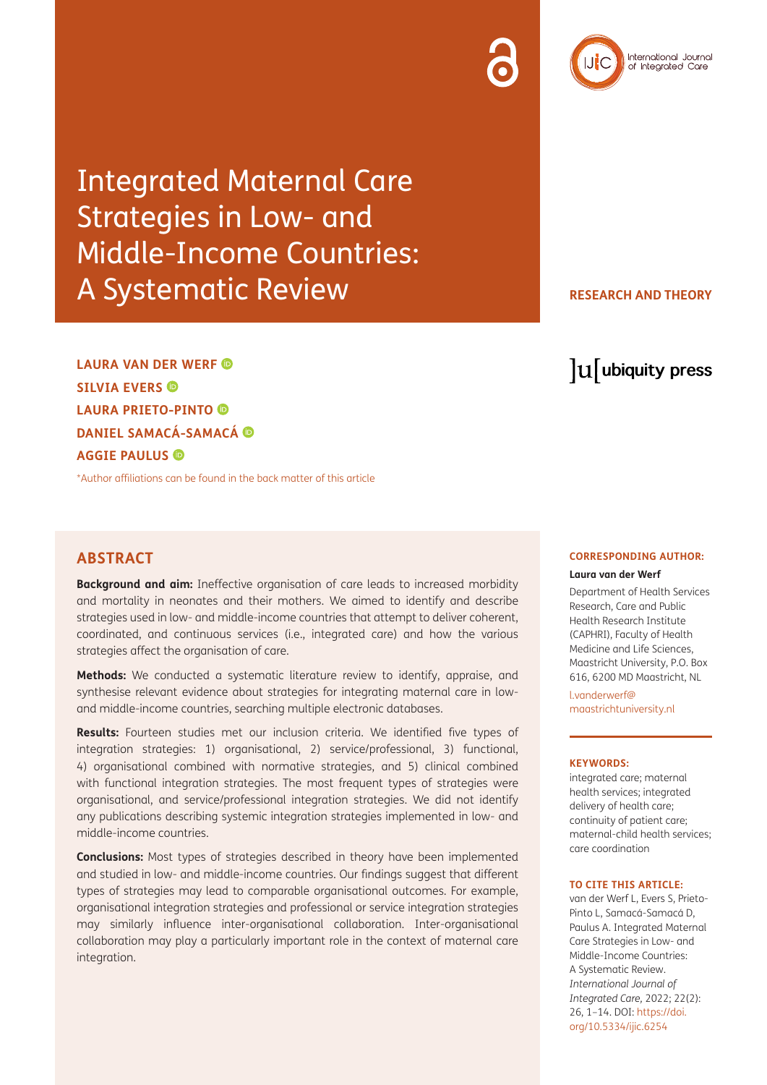## Integrated Maternal Care Strategies in Low- and Middle-Income Countries: A Systematic Review

**RESEARCH AND THEORY**

lu ubiquity press

International Journal<br>of Integrated Care

**LAURA VAN DER WERF SILVIA EVERS LAURA PRIETO-PINTO DANIEL SAMACÁ-SAMACÁ AGGIE PAULUS** 

\*Author affiliations can be found in the back matter of this article

## **ABSTRACT**

**Background and aim:** Ineffective organisation of care leads to increased morbidity and mortality in neonates and their mothers. We aimed to identify and describe strategies used in low- and middle-income countries that attempt to deliver coherent, coordinated, and continuous services (i.e., integrated care) and how the various strategies affect the organisation of care.

**Methods:** We conducted a systematic literature review to identify, appraise, and synthesise relevant evidence about strategies for integrating maternal care in lowand middle-income countries, searching multiple electronic databases.

**Results:** Fourteen studies met our inclusion criteria. We identified five types of integration strategies: 1) organisational, 2) service/professional, 3) functional, 4) organisational combined with normative strategies, and 5) clinical combined with functional integration strategies. The most frequent types of strategies were organisational, and service/professional integration strategies. We did not identify any publications describing systemic integration strategies implemented in low- and middle-income countries.

**Conclusions:** Most types of strategies described in theory have been implemented and studied in low- and middle-income countries. Our findings suggest that different types of strategies may lead to comparable organisational outcomes. For example, organisational integration strategies and professional or service integration strategies may similarly influence inter-organisational collaboration. Inter-organisational collaboration may play a particularly important role in the context of maternal care integration.

#### **CORRESPONDING AUTHOR:**

#### **Laura van der Werf**

Department of Health Services Research, Care and Public Health Research Institute (CAPHRI), Faculty of Health Medicine and Life Sciences, Maastricht University, P.O. Box 616, 6200 MD Maastricht, NL

[l.vanderwerf@](mailto:l.vanderwerf@maastrichtuniversity.nl) [maastrichtuniversity.nl](mailto:l.vanderwerf@maastrichtuniversity.nl)

#### **KEYWORDS:**

integrated care; maternal health services; integrated delivery of health care; continuity of patient care; maternal-child health services; care coordination

#### **TO CITE THIS ARTICLE:**

van der Werf L, Evers S, Prieto-Pinto L, Samacá-Samacá D, Paulus A. Integrated Maternal Care Strategies in Low- and Middle-Income Countries: A Systematic Review. *International Journal of Integrated Care,* 2022; 22(2): 26, 1–14. DOI: [https://doi.](https://doi.org/10.5334/ijic.6254) [org/10.5334/ijic.6254](https://doi.org/10.5334/ijic.6254)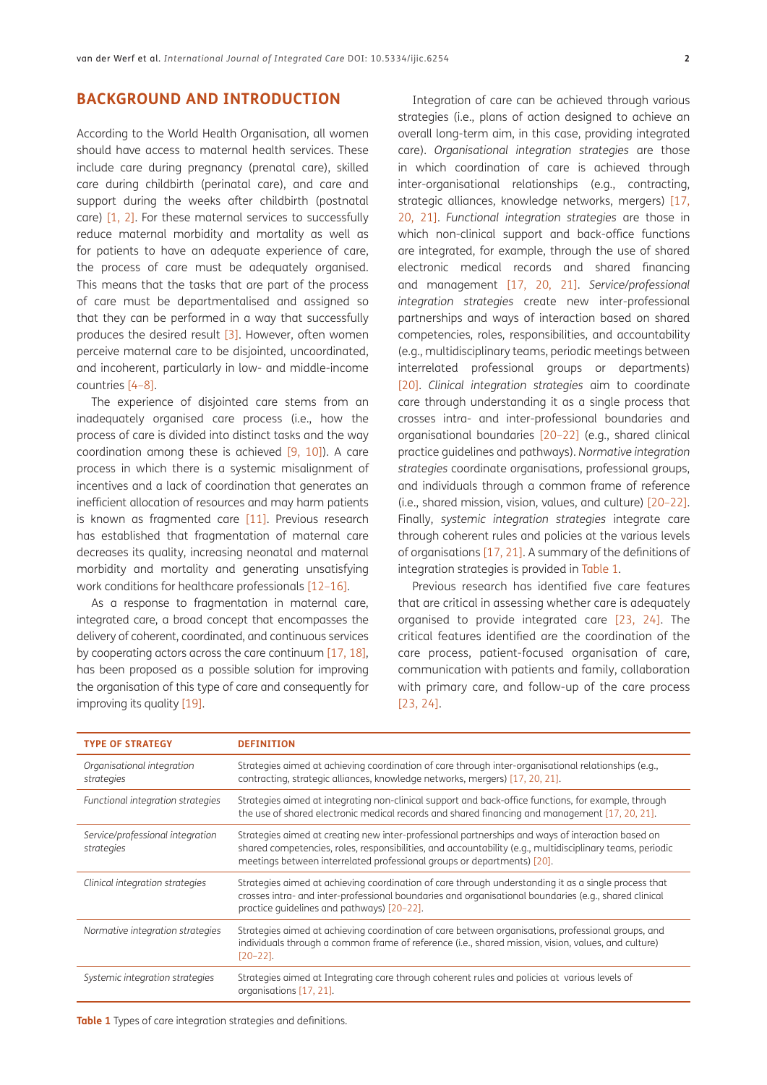## **BACKGROUND AND INTRODUCTION**

According to the World Health Organisation, all women should have access to maternal health services. These include care during pregnancy (prenatal care), skilled care during childbirth (perinatal care), and care and support during the weeks after childbirth (postnatal care) [\[1](#page-10-0), [2\].](#page-10-1) For these maternal services to successfully reduce maternal morbidity and mortality as well as for patients to have an adequate experience of care, the process of care must be adequately organised. This means that the tasks that are part of the process of care must be departmentalised and assigned so that they can be performed in a way that successfully produces the desired result [\[3\]](#page-10-2). However, often women perceive maternal care to be disjointed, uncoordinated, and incoherent, particularly in low- and middle-income countries [[4](#page-10-3)–8].

The experience of disjointed care stems from an inadequately organised care process (i.e., how the process of care is divided into distinct tasks and the way coordination among these is achieved  $[9, 10]$  $[9, 10]$  $[9, 10]$ ). A care process in which there is a systemic misalignment of incentives and a lack of coordination that generates an inefficient allocation of resources and may harm patients is known as fragmented care [\[11\]](#page-10-5). Previous research has established that fragmentation of maternal care decreases its quality, increasing neonatal and maternal morbidity and mortality and generating unsatisfying work conditions for healthcare professionals [12[–16\].](#page-11-0)

As a response to fraamentation in maternal care, integrated care, a broad concept that encompasses the delivery of coherent, coordinated, and continuous services by cooperating actors across the care continuum [\[17,](#page-11-1) 18], has been proposed as a possible solution for improving the organisation of this type of care and consequently for improving its quality [\[19\].](#page-11-2)

Integration of care can be achieved through various strategies (i.e., plans of action designed to achieve an overall long-term aim, in this case, providing integrated care). *Organisational integration strategies* are those in which coordination of care is achieved through inter-organisational relationships (e.g., contracting, strategic alliances, knowledge networks, mergers) [\[17,](#page-11-1)  [20](#page-11-3), [21\]](#page-11-4). *Functional integration strategies* are those in which non-clinical support and back-office functions are integrated, for example, through the use of shared electronic medical records and shared financing and management [\[17,](#page-11-1) [20](#page-11-3), [21](#page-11-4)]. *Service/professional integration strategies* create new inter-professional partnerships and ways of interaction based on shared competencies, roles, responsibilities, and accountability (e.g., multidisciplinary teams, periodic meetings between interrelated professional groups or departments) [\[20\]](#page-11-3). *Clinical integration strategies* aim to coordinate care through understanding it as a single process that crosses intra- and inter-professional boundaries and organisational boundaries [\[20](#page-11-3)–[22](#page-11-5)] (e.g., shared clinical practice guidelines and pathways). *Normative integration strategies* coordinate organisations, professional groups, and individuals through a common frame of reference (i.e., shared mission, vision, values, and culture) [20–22]. Finally, *systemic integration strategies* integrate care through coherent rules and policies at the various levels of organisations [\[17](#page-11-1), [21\].](#page-11-4) A summary of the definitions of integration strategies is provided in Table 1.

Previous research has identified five care features that are critical in assessing whether care is adequately organised to provide integrated care [\[23,](#page-11-6) [24\].](#page-11-7) The critical features identified are the coordination of the care process, patient-focused organisation of care, communication with patients and family, collaboration with primary care, and follow-up of the care process [\[23,](#page-11-6) [24\].](#page-11-7)

| <b>TYPE OF STRATEGY</b>                        | <b>DEFINITION</b>                                                                                                                                                                                                                                                                         |
|------------------------------------------------|-------------------------------------------------------------------------------------------------------------------------------------------------------------------------------------------------------------------------------------------------------------------------------------------|
| Organisational integration<br>strategies       | Strategies aimed at achieving coordination of care through inter-organisational relationships (e.g.,<br>contracting, strategic alliances, knowledge networks, mergers) [17, 20, 21].                                                                                                      |
| Functional integration strategies              | Strategies aimed at integrating non-clinical support and back-office functions, for example, through<br>the use of shared electronic medical records and shared financing and management [17, 20, 21].                                                                                    |
| Service/professional integration<br>strategies | Strategies aimed at creating new inter-professional partnerships and ways of interaction based on<br>shared competencies, roles, responsibilities, and accountability (e.g., multidisciplinary teams, periodic<br>meetings between interrelated professional groups or departments) [20]. |
| Clinical integration strategies                | Strategies aimed at achieving coordination of care through understanding it as a single process that<br>crosses intra- and inter-professional boundaries and organisational boundaries (e.g., shared clinical<br>practice quidelines and pathways) [20-22].                               |
| Normative integration strategies               | Strategies aimed at achieving coordination of care between organisations, professional groups, and<br>individuals through a common frame of reference (i.e., shared mission, vision, values, and culture)<br>$[20-22]$ .                                                                  |
| Systemic integration strategies                | Strategies aimed at Integrating care through coherent rules and policies at various levels of<br>organisations [17, 21].                                                                                                                                                                  |

**Table 1** Types of care integration strategies and definitions.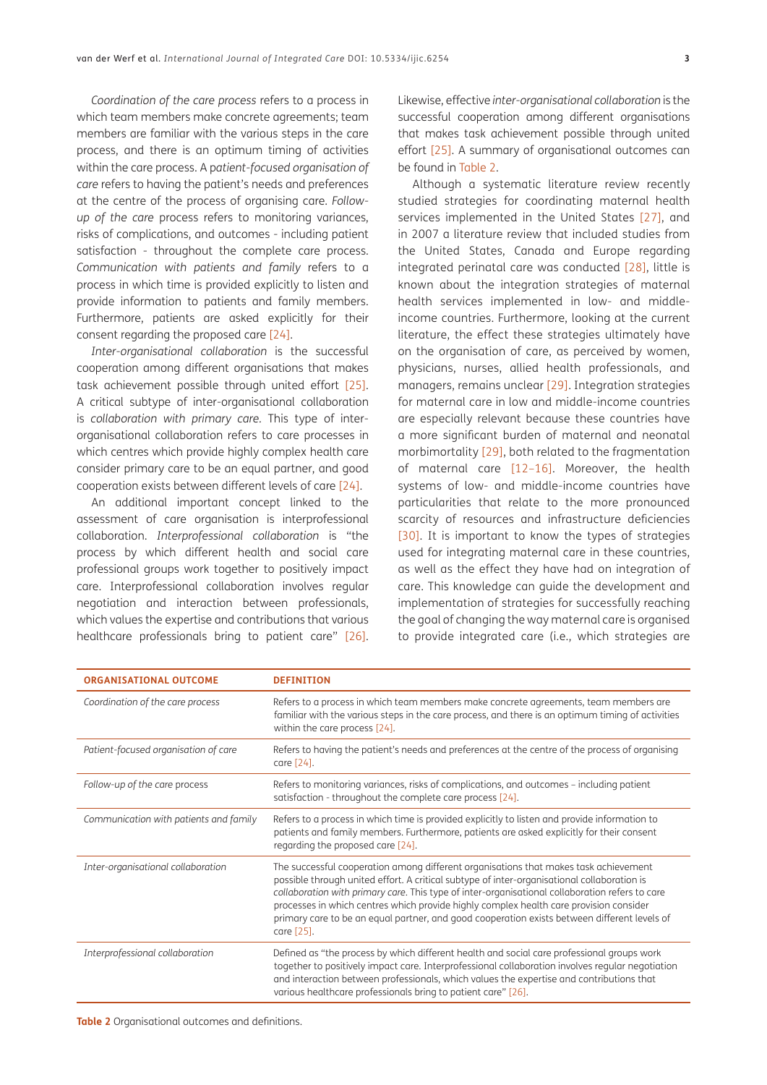*Coordination of the care process* refers to a process in which team members make concrete agreements; team members are familiar with the various steps in the care process, and there is an optimum timing of activities within the care process. A p*atient-focused organisation of care* refers to having the patient's needs and preferences at the centre of the process of organising care. *Followup of the care* process refers to monitoring variances, risks of complications, and outcomes - including patient satisfaction - throughout the complete care process. *Communication with patients and family* refers to a process in which time is provided explicitly to listen and provide information to patients and family members. Furthermore, patients are asked explicitly for their consent regarding the proposed care [\[24\]](#page-11-7).

*Inter-organisational collaboration* is the successful cooperation among different organisations that makes task achievement possible through united effort [\[25\]](#page-11-8). A critical subtype of inter-organisational collaboration is *collaboration with primary care.* This type of interorganisational collaboration refers to care processes in which centres which provide highly complex health care consider primary care to be an equal partner, and good cooperation exists between different levels of care [\[24\]](#page-11-7).

An additional important concept linked to the assessment of care organisation is interprofessional collaboration. *Interprofessional collaboration* is "the process by which different health and social care professional groups work together to positively impact care. Interprofessional collaboration involves regular negotiation and interaction between professionals, which values the expertise and contributions that various healthcare professionals bring to patient care" [\[26\]](#page-11-9).

Likewise, effective *inter-organisational collaboration* is the successful cooperation among different organisations that makes task achievement possible through united effort [\[25\].](#page-11-8) A summary of organisational outcomes can be found in Table 2.

Although a systematic literature review recently studied strategies for coordinating maternal health services implemented in the United States [\[27\],](#page-11-10) and in 2007 a literature review that included studies from the United States, Canada and Europe regarding integrated perinatal care was conducted [28], little is known about the integration strategies of maternal health services implemented in low- and middleincome countries. Furthermore, looking at the current literature, the effect these strategies ultimately have on the organisation of care, as perceived by women, physicians, nurses, allied health professionals, and managers, remains unclear [\[29\]](#page-11-11). Integration strategies for maternal care in low and middle-income countries are especially relevant because these countries have a more significant burden of maternal and neonatal morbimortality [\[29\],](#page-11-11) both related to the fragmentation of maternal care [12–[16\]](#page-11-0). Moreover, the health systems of low- and middle-income countries have particularities that relate to the more pronounced scarcity of resources and infrastructure deficiencies [\[30\].](#page-11-12) It is important to know the types of strategies used for integrating maternal care in these countries, as well as the effect they have had on integration of care. This knowledge can guide the development and implementation of strategies for successfully reaching the goal of changing the way maternal care is organised to provide integrated care (i.e., which strategies are

| <b>ORGANISATIONAL OUTCOME</b>          | <b>DEFINITION</b>                                                                                                                                                                                                                                                                                                                                                                                                                                                                              |
|----------------------------------------|------------------------------------------------------------------------------------------------------------------------------------------------------------------------------------------------------------------------------------------------------------------------------------------------------------------------------------------------------------------------------------------------------------------------------------------------------------------------------------------------|
| Coordination of the care process       | Refers to a process in which team members make concrete agreements, team members are<br>familiar with the various steps in the care process, and there is an optimum timing of activities<br>within the care process [24].                                                                                                                                                                                                                                                                     |
| Patient-focused organisation of care   | Refers to having the patient's needs and preferences at the centre of the process of organising<br>care [24].                                                                                                                                                                                                                                                                                                                                                                                  |
| Follow-up of the care process          | Refers to monitoring variances, risks of complications, and outcomes – including patient<br>satisfaction - throughout the complete care process [24].                                                                                                                                                                                                                                                                                                                                          |
| Communication with patients and family | Refers to a process in which time is provided explicitly to listen and provide information to<br>patients and family members. Furthermore, patients are asked explicitly for their consent<br>regarding the proposed care [24].                                                                                                                                                                                                                                                                |
| Inter-organisational collaboration     | The successful cooperation among different organisations that makes task achievement<br>possible through united effort. A critical subtype of inter-organisational collaboration is<br>collaboration with primary care. This type of inter-organisational collaboration refers to care<br>processes in which centres which provide highly complex health care provision consider<br>primary care to be an equal partner, and good cooperation exists between different levels of<br>care [25]. |
| Interprofessional collaboration        | Defined as "the process by which different health and social care professional groups work<br>together to positively impact care. Interprofessional collaboration involves regular negotiation<br>and interaction between professionals, which values the expertise and contributions that<br>various healthcare professionals bring to patient care" [26].                                                                                                                                    |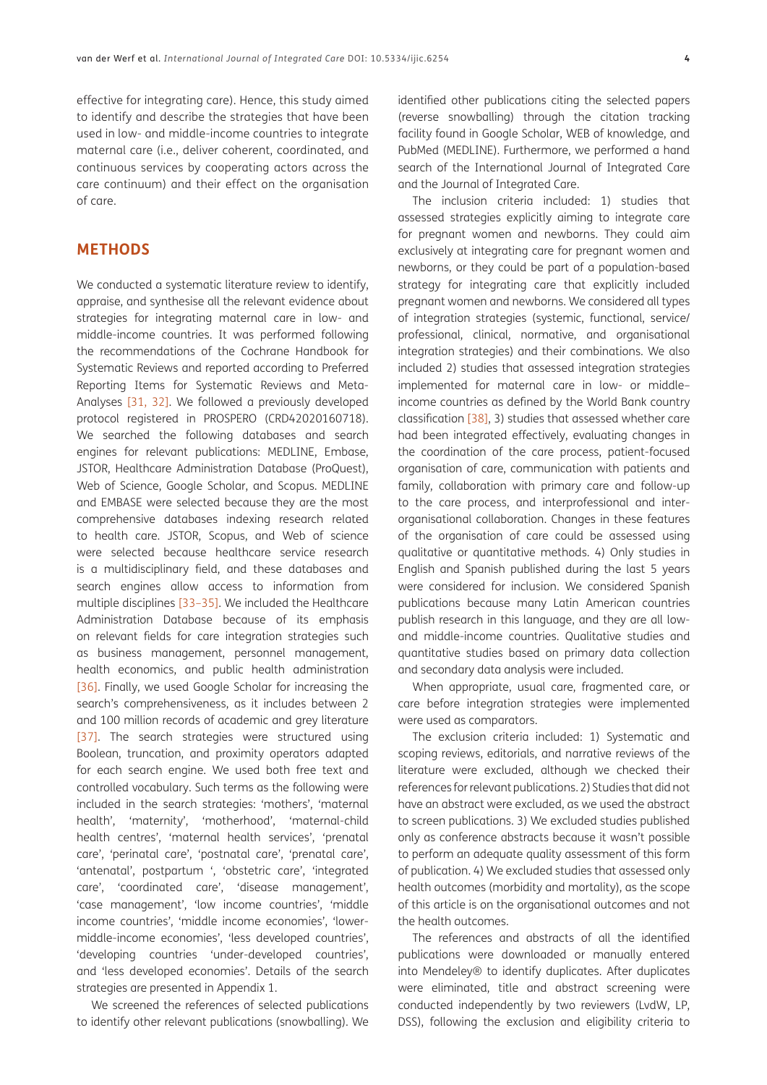effective for integrating care). Hence, this study aimed to identify and describe the strategies that have been used in low- and middle-income countries to integrate maternal care (i.e., deliver coherent, coordinated, and continuous services by cooperating actors across the care continuum) and their effect on the organisation of care.

## **METHODS**

We conducted a systematic literature review to identify, appraise, and synthesise all the relevant evidence about strategies for integrating maternal care in low- and middle-income countries. It was performed following the recommendations of the Cochrane Handbook for Systematic Reviews and reported according to Preferred Reporting Items for Systematic Reviews and Meta-Analyses [\[31,](#page-11-13) [32\]](#page-11-14). We followed a previously developed protocol registered in PROSPERO (CRD42020160718). We searched the following databases and search engines for relevant publications: MEDLINE, Embase, JSTOR, Healthcare Administration Database (ProQuest), Web of Science, Google Scholar, and Scopus. MEDLINE and EMBASE were selected because they are the most comprehensive databases indexing research related to health care. JSTOR, Scopus, and Web of science were selected because healthcare service research is a multidisciplinary field, and these databases and search engines allow access to information from multiple disciplines [\[33](#page-11-15)[–35\].](#page-11-16) We included the Healthcare Administration Database because of its emphasis on relevant fields for care integration strategies such as business management, personnel management, health economics, and public health administration [\[36\].](#page-11-17) Finally, we used Google Scholar for increasing the search's comprehensiveness, as it includes between 2 and 100 million records of academic and grey literature [\[37\].](#page-11-18) The search strategies were structured using Boolean, truncation, and proximity operators adapted for each search engine. We used both free text and controlled vocabulary. Such terms as the following were included in the search strategies: 'mothers', 'maternal health', 'maternity', 'motherhood', 'maternal-child health centres', 'maternal health services', 'prenatal care', 'perinatal care', 'postnatal care', 'prenatal care', 'antenatal', postpartum ', 'obstetric care', 'integrated care', 'coordinated care', 'disease management', 'case management', 'low income countries', 'middle income countries', 'middle income economies', 'lowermiddle-income economies', 'less developed countries', 'developing countries 'under-developed countries', and 'less developed economies'. Details of the search strategies are presented in Appendix 1.

We screened the references of selected publications to identify other relevant publications (snowballing). We

identified other publications citing the selected papers (reverse snowballing) through the citation tracking facility found in Google Scholar, WEB of knowledge, and PubMed (MEDLINE). Furthermore, we performed a hand search of the International Journal of Integrated Care and the Journal of Integrated Care.

The inclusion criteria included: 1) studies that assessed strategies explicitly aiming to integrate care for pregnant women and newborns. They could aim exclusively at integrating care for pregnant women and newborns, or they could be part of a population-based strategy for integrating care that explicitly included pregnant women and newborns. We considered all types of integration strategies (systemic, functional, service/ professional, clinical, normative, and organisational integration strategies) and their combinations. We also included 2) studies that assessed integration strategies implemented for maternal care in low- or middle– income countries as defined by the World Bank country classification [38], 3) studies that assessed whether care had been integrated effectively, evaluating changes in the coordination of the care process, patient-focused organisation of care, communication with patients and family, collaboration with primary care and follow-up to the care process, and interprofessional and interorganisational collaboration. Changes in these features of the organisation of care could be assessed using qualitative or quantitative methods. 4) Only studies in English and Spanish published during the last 5 years were considered for inclusion. We considered Spanish publications because many Latin American countries publish research in this language, and they are all lowand middle-income countries. Qualitative studies and quantitative studies based on primary data collection and secondary data analysis were included.

When appropriate, usual care, fragmented care, or care before integration strategies were implemented were used as comparators.

The exclusion criteria included: 1) Systematic and scoping reviews, editorials, and narrative reviews of the literature were excluded, although we checked their references for relevant publications. 2) Studies that did not have an abstract were excluded, as we used the abstract to screen publications. 3) We excluded studies published only as conference abstracts because it wasn't possible to perform an adequate quality assessment of this form of publication. 4) We excluded studies that assessed only health outcomes (morbidity and mortality), as the scope of this article is on the organisational outcomes and not the health outcomes.

The references and abstracts of all the identified publications were downloaded or manually entered into Mendeley® to identify duplicates. After duplicates were eliminated, title and abstract screening were conducted independently by two reviewers (LvdW, LP, DSS), following the exclusion and eligibility criteria to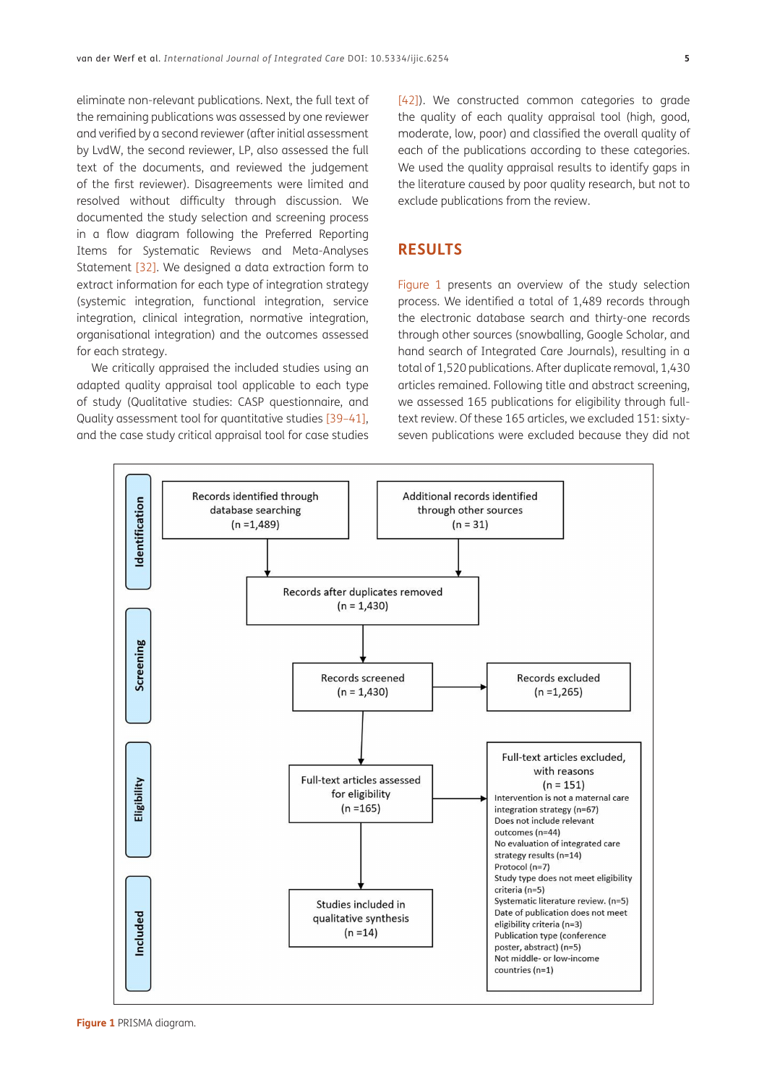eliminate non-relevant publications. Next, the full text of the remaining publications was assessed by one reviewer and verified by a second reviewer (after initial assessment by LvdW, the second reviewer, LP, also assessed the full text of the documents, and reviewed the judgement of the first reviewer). Disagreements were limited and resolved without difficulty through discussion. We documented the study selection and screening process in a flow diagram following the Preferred Reporting Items for Systematic Reviews and Meta-Analyses Statement [\[32\].](#page-11-14) We designed a data extraction form to extract information for each type of integration strategy (systemic integration, functional integration, service integration, clinical integration, normative integration, organisational integration) and the outcomes assessed for each strategy.

We critically appraised the included studies using an adapted quality appraisal tool applicable to each type of study (Qualitative studies: CASP questionnaire, and Quality assessment tool for quantitative studies [[39](#page-11-19)–[41](#page-11-20)], and the case study critical appraisal tool for case studies

[\[42\]](#page-12-0)). We constructed common categories to grade the quality of each quality appraisal tool (high, good, moderate, low, poor) and classified the overall quality of each of the publications according to these categories. We used the quality appraisal results to identify gaps in the literature caused by poor quality research, but not to exclude publications from the review.

#### **RESULTS**

Figure 1 presents an overview of the study selection process. We identified a total of 1,489 records through the electronic database search and thirty-one records through other sources (snowballing, Google Scholar, and hand search of Integrated Care Journals), resulting in a total of 1,520 publications. After duplicate removal, 1,430 articles remained. Following title and abstract screening, we assessed 165 publications for eligibility through fulltext review. Of these 165 articles, we excluded 151: sixtyseven publications were excluded because they did not

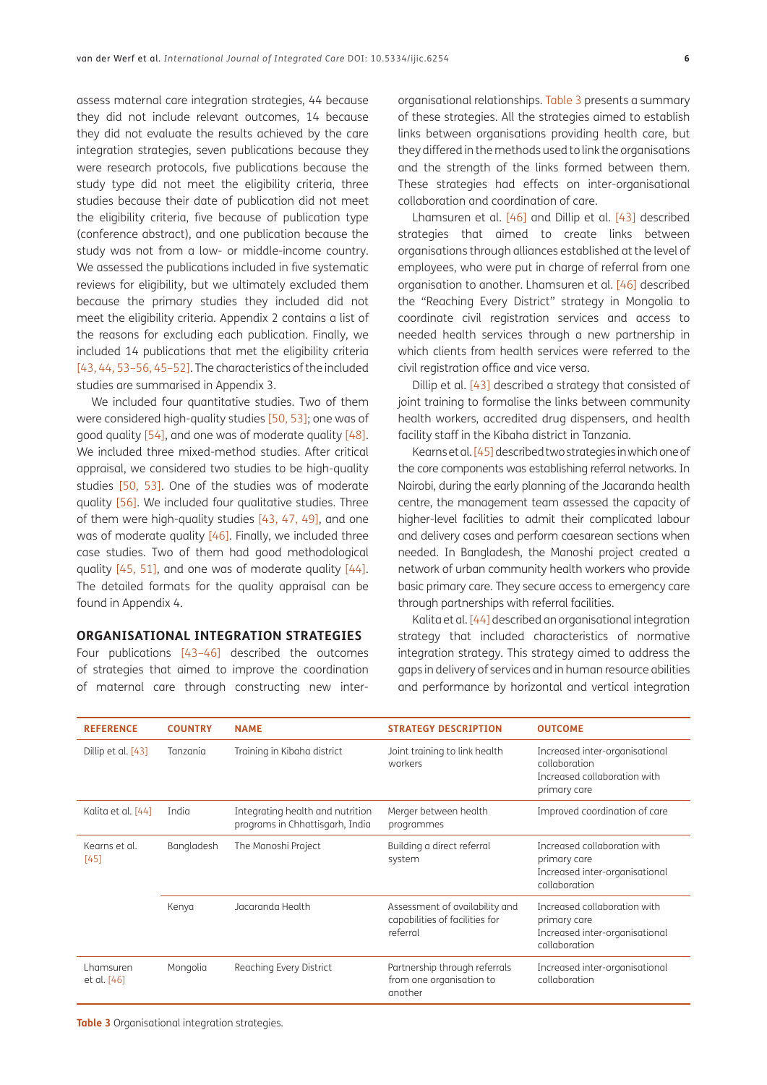assess maternal care integration strategies, 44 because they did not include relevant outcomes, 14 because they did not evaluate the results achieved by the care integration strategies, seven publications because they were research protocols, five publications because the study type did not meet the eligibility criteria, three studies because their date of publication did not meet the eligibility criteria, five because of publication type (conference abstract), and one publication because the study was not from a low- or middle-income country. We assessed the publications included in five systematic reviews for eligibility, but we ultimately excluded them because the primary studies they included did not meet the eligibility criteria. Appendix 2 contains a list of the reasons for excluding each publication. Finally, we included 14 publications that met the eligibility criteria [\[43,](#page-12-1) [44,](#page-12-2) [53](#page-12-3)[–56,](#page-12-4) [45](#page-12-5)[–52\]](#page-12-6). The characteristics of the included studies are summarised in Appendix 3.

We included four quantitative studies. Two of them were considered high-quality studies [\[50,](#page-12-7) [53\]](#page-12-3); one was of good quality [\[54\]](#page-12-8), and one was of moderate quality [\[48\]](#page-12-9). We included three mixed-method studies. After critical appraisal, we considered two studies to be high-quality studies [\[50,](#page-12-7) [53\]](#page-12-3). One of the studies was of moderate quality [\[56\]](#page-12-4). We included four qualitative studies. Three of them were high-quality studies [\[43,](#page-12-1) [47](#page-12-10), [49\],](#page-12-11) and one was of moderate quality [\[46\]](#page-12-12). Finally, we included three case studies. Two of them had good methodological quality [\[45,](#page-12-5) [51\],](#page-12-13) and one was of moderate quality [\[44\].](#page-12-2) The detailed formats for the quality appraisal can be found in Appendix 4.

#### **ORGANISATIONAL INTEGRATION STRATEGIES**

Four publications [\[43–](#page-12-1)[46\]](#page-12-12) described the outcomes of strategies that aimed to improve the coordination of maternal care through constructing new inter-

organisational relationships. Table 3 presents a summary of these strategies. All the strategies aimed to establish links between organisations providing health care, but they differed in the methods used to link the organisations and the strength of the links formed between them. These strategies had effects on inter-organisational collaboration and coordination of care.

Lhamsuren et al. [\[46\]](#page-12-12) and Dillip et al. [\[43\]](#page-12-1) described strategies that aimed to create links between organisations through alliances established at the level of employees, who were put in charge of referral from one organisation to another. Lhamsuren et al. [\[46\]](#page-12-12) described the "Reaching Every District" strategy in Mongolia to coordinate civil registration services and access to needed health services through a new partnership in which clients from health services were referred to the civil registration office and vice versa.

Dillip et al. [\[43\]](#page-12-1) described a strategy that consisted of joint training to formalise the links between community health workers, accredited drug dispensers, and health facility staff in the Kibaha district in Tanzania.

Kearns et al. [\[45\]](#page-12-5) described two strategies in which one of the core components was establishing referral networks. In Nairobi, during the early planning of the Jacaranda health centre, the management team assessed the capacity of higher-level facilities to admit their complicated labour and delivery cases and perform caesarean sections when needed. In Bangladesh, the Manoshi project created a network of urban community health workers who provide basic primary care. They secure access to emergency care through partnerships with referral facilities.

Kalita et al. [\[44\]](#page-12-2) described an organisational integration strategy that included characteristics of normative integration strategy. This strategy aimed to address the gaps in delivery of services and in human resource abilities and performance by horizontal and vertical integration

| <b>REFERENCE</b>         | <b>COUNTRY</b> | <b>NAME</b><br><b>STRATEGY DESCRIPTION</b>                          |                                                                              | <b>OUTCOME</b>                                                                                  |
|--------------------------|----------------|---------------------------------------------------------------------|------------------------------------------------------------------------------|-------------------------------------------------------------------------------------------------|
| Dillip et al. [43]       | Tanzania       | Training in Kibaha district                                         | Joint training to link health<br>workers                                     | Increased inter-organisational<br>collaboration<br>Increased collaboration with<br>primary care |
| Kalita et al. [44]       | India          | Integrating health and nutrition<br>programs in Chhattisgarh, India | Merger between health<br>programmes                                          | Improved coordination of care                                                                   |
| Kearns et al.<br>[45]    | Bangladesh     | The Manoshi Project                                                 | Building a direct referral<br>system                                         | Increased collaboration with<br>primary care<br>Increased inter-organisational<br>collaboration |
|                          | Kenya          | Jacaranda Health                                                    | Assessment of availability and<br>capabilities of facilities for<br>referral | Increased collaboration with<br>primary care<br>Increased inter-organisational<br>collaboration |
| Lhamsuren<br>et al. [46] | Mongolia       | Reaching Every District                                             | Partnership through referrals<br>from one organisation to<br>another         | Increased inter-organisational<br>collaboration                                                 |

**Table 3** Organisational integration strategies.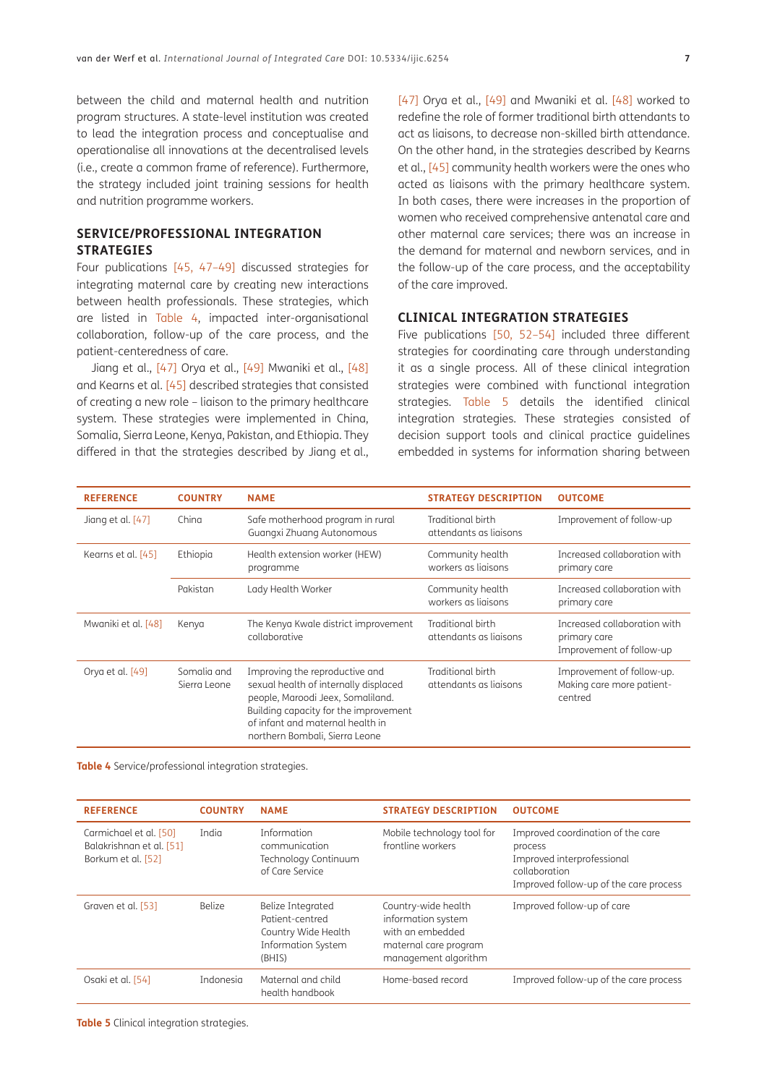between the child and maternal health and nutrition program structures. A state-level institution was created to lead the integration process and conceptualise and operationalise all innovations at the decentralised levels (i.e., create a common frame of reference). Furthermore, the strategy included joint training sessions for health and nutrition programme workers.

#### **SERVICE/PROFESSIONAL INTEGRATION STRATEGIES**

Four publications [\[45,](#page-12-5) [47](#page-12-10)–[49\]](#page-12-11) discussed strategies for integrating maternal care by creating new interactions between health professionals. These strategies, which are listed in Table 4, impacted inter-organisational collaboration, follow-up of the care process, and the patient-centeredness of care.

Jiang et al., [\[47\]](#page-12-10) Orya et al., [\[49\]](#page-12-11) Mwaniki et al., [\[48\]](#page-12-9) and Kearns et al. [\[45\]](#page-12-5) described strategies that consisted of creating a new role – liaison to the primary healthcare system. These strategies were implemented in China, Somalia, Sierra Leone, Kenya, Pakistan, and Ethiopia. They differed in that the strategies described by Jiang et al., [\[47\]](#page-12-10) Orya et al., [\[49\]](#page-12-11) and Mwaniki et al. [\[48\]](#page-12-9) worked to redefine the role of former traditional birth attendants to act as liaisons, to decrease non-skilled birth attendance. On the other hand, in the strategies described by Kearns et al., [\[45\]](#page-12-5) community health workers were the ones who acted as liaisons with the primary healthcare system. In both cases, there were increases in the proportion of women who received comprehensive antenatal care and other maternal care services; there was an increase in the demand for maternal and newborn services, and in the follow-up of the care process, and the acceptability of the care improved.

#### **CLINICAL INTEGRATION STRATEGIES**

Five publications [\[50,](#page-12-7) [52](#page-12-6)–[54](#page-12-8)] included three different strategies for coordinating care through understanding it as a single process. All of these clinical integration strategies were combined with functional integration strategies. Table 5 details the identified clinical integration strategies. These strategies consisted of decision support tools and clinical practice guidelines embedded in systems for information sharing between

| <b>REFERENCE</b>    | <b>COUNTRY</b>              | <b>NAME</b><br><b>STRATEGY DESCRIPTION</b>                                                                                                                                                                                  |                                             | <b>OUTCOME</b>                                                           |
|---------------------|-----------------------------|-----------------------------------------------------------------------------------------------------------------------------------------------------------------------------------------------------------------------------|---------------------------------------------|--------------------------------------------------------------------------|
| Jiang et al. [47]   | China                       | Safe motherhood program in rural<br>Guangxi Zhuang Autonomous                                                                                                                                                               | Traditional birth<br>attendants as liaisons | Improvement of follow-up                                                 |
| Kearns et al. [45]  | Ethiopia                    | Health extension worker (HEW)<br>Community health<br>workers as ligisons<br>programme                                                                                                                                       |                                             | Increased collaboration with<br>primary care                             |
|                     | Pakistan                    | Lady Health Worker                                                                                                                                                                                                          | Community health<br>workers as ligisons     | Increased collaboration with<br>primary care                             |
| Mwaniki et al. [48] | Kenya                       | The Kenya Kwale district improvement<br>collaborative                                                                                                                                                                       | Traditional birth<br>attendants as ligisons | Increased collaboration with<br>primary care<br>Improvement of follow-up |
| Orya et al. [49]    | Somalia and<br>Sierra Leone | Improving the reproductive and<br>sexual health of internally displaced<br>people, Maroodi Jeex, Somaliland.<br>Building capacity for the improvement<br>of infant and maternal health in<br>northern Bombali, Sierra Leone | Traditional birth<br>attendants as liaisons | Improvement of follow-up.<br>Making care more patient-<br>centred        |

**Table 4** Service/professional integration strategies.

| <b>REFERENCE</b>                                                         | <b>COUNTRY</b> | <b>NAME</b>                                                                                        | <b>STRATEGY DESCRIPTION</b>                                                                                    | <b>OUTCOME</b>                                                                                                                        |  |
|--------------------------------------------------------------------------|----------------|----------------------------------------------------------------------------------------------------|----------------------------------------------------------------------------------------------------------------|---------------------------------------------------------------------------------------------------------------------------------------|--|
| Carmichael et al. [50]<br>Balakrishnan et al. [51]<br>Borkum et al. [52] | India          | Information<br>communication<br>Technology Continuum<br>of Care Service                            | Mobile technology tool for<br>frontline workers                                                                | Improved coordination of the care<br>process<br>Improved interprofessional<br>collaboration<br>Improved follow-up of the care process |  |
| Graven et al. [53]                                                       | <b>Belize</b>  | Belize Integrated<br>Patient-centred<br>Country Wide Health<br><b>Information System</b><br>(BHIS) | Country-wide health<br>information system<br>with an embedded<br>maternal care program<br>management algorithm | Improved follow-up of care                                                                                                            |  |
| Osaki et al. [54]                                                        | Indonesia      | Maternal and child<br>health handbook                                                              | Home-based record                                                                                              | Improved follow-up of the care process                                                                                                |  |

**Table 5** Clinical integration strategies.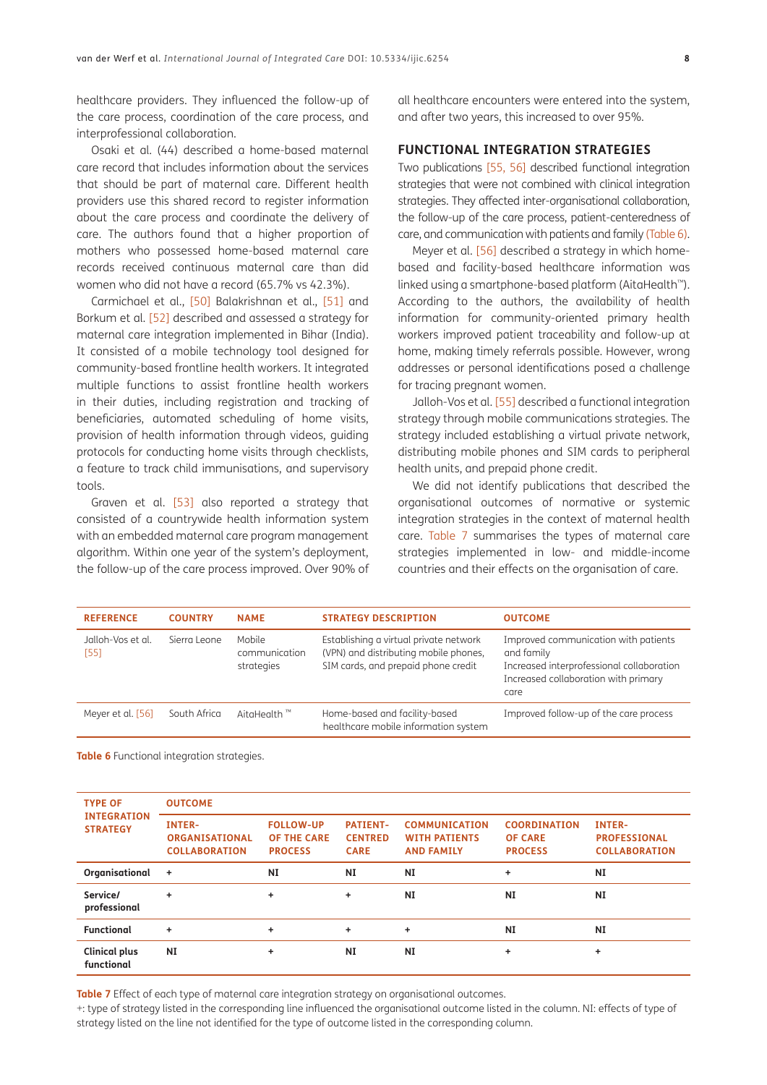healthcare providers. They influenced the follow-up of the care process, coordination of the care process, and interprofessional collaboration.

Osaki et al. (44) described a home-based maternal care record that includes information about the services that should be part of maternal care. Different health providers use this shared record to register information about the care process and coordinate the delivery of care. The authors found that a higher proportion of mothers who possessed home-based maternal care records received continuous maternal care than did women who did not have a record (65.7% vs 42.3%).

Carmichael et al., [\[50\]](#page-12-7) Balakrishnan et al., [\[51\]](#page-12-13) and Borkum et al. [\[52\]](#page-12-6) described and assessed a strategy for maternal care integration implemented in Bihar (India). It consisted of a mobile technology tool designed for community-based frontline health workers. It integrated multiple functions to assist frontline health workers in their duties, including registration and tracking of beneficiaries, automated scheduling of home visits, provision of health information through videos, guiding protocols for conducting home visits through checklists, a feature to track child immunisations, and supervisory tools.

Graven et al. [\[53\]](#page-12-3) also reported a strategy that consisted of a countrywide health information system with an embedded maternal care program management algorithm. Within one year of the system's deployment, the follow-up of the care process improved. Over 90% of all healthcare encounters were entered into the system, and after two years, this increased to over 95%.

#### **FUNCTIONAL INTEGRATION STRATEGIES**

Two publications [\[55](#page-12-14), [56\]](#page-12-4) described functional integration strategies that were not combined with clinical integration strategies. They affected inter-organisational collaboration, the follow-up of the care process, patient-centeredness of care, and communication with patients and family (Table 6).

Meyer et al. [\[56\]](#page-12-4) described a strategy in which homebased and facility-based healthcare information was linked using a smartphone-based platform (AitaHealth<sup>\*\*</sup>). According to the authors, the availability of health information for community-oriented primary health workers improved patient traceability and follow-up at home, making timely referrals possible. However, wrong addresses or personal identifications posed a challenge for tracing pregnant women.

Jalloh-Vos et al. [\[55\]](#page-12-14) described a functional integration strategy through mobile communications strategies. The strategy included establishing a virtual private network, distributing mobile phones and SIM cards to peripheral health units, and prepaid phone credit.

We did not identify publications that described the organisational outcomes of normative or systemic integration strategies in the context of maternal health care. Table 7 summarises the types of maternal care strategies implemented in low- and middle-income countries and their effects on the organisation of care.

| <b>REFERENCE</b>          | <b>COUNTRY</b> | <b>NAME</b>                           | <b>STRATEGY DESCRIPTION</b>                                                                                            | <b>OUTCOME</b>                                                                                                                                  |
|---------------------------|----------------|---------------------------------------|------------------------------------------------------------------------------------------------------------------------|-------------------------------------------------------------------------------------------------------------------------------------------------|
| Jalloh-Vos et al.<br>[55] | Sierra Leone   | Mobile<br>communication<br>strategies | Establishing a virtual private network<br>(VPN) and distributing mobile phones,<br>SIM cards, and prepaid phone credit | Improved communication with patients<br>and family<br>Increased interprofessional collaboration<br>Increased collaboration with primary<br>care |
| Meyer et al. [56]         | South Africa   | AitaHealth $\mathbb{R}^m$             | Home-based and facility-based<br>healthcare mobile information system                                                  | Improved follow-up of the care process                                                                                                          |

**Table 6** Functional integration strategies.

| <b>TYPE OF</b><br><b>INTEGRATION</b><br><b>STRATEGY</b> | <b>OUTCOME</b>                                                 |                                                          |                                                  |                                                                   |                                                         |                                                              |  |
|---------------------------------------------------------|----------------------------------------------------------------|----------------------------------------------------------|--------------------------------------------------|-------------------------------------------------------------------|---------------------------------------------------------|--------------------------------------------------------------|--|
|                                                         | <b>INTER-</b><br><b>ORGANISATIONAL</b><br><b>COLLABORATION</b> | <b>FOLLOW-UP</b><br><b>OF THE CARE</b><br><b>PROCESS</b> | <b>PATIENT-</b><br><b>CENTRED</b><br><b>CARE</b> | <b>COMMUNICATION</b><br><b>WITH PATIENTS</b><br><b>AND FAMILY</b> | <b>COORDINATION</b><br><b>OF CARE</b><br><b>PROCESS</b> | <b>INTER-</b><br><b>PROFESSIONAL</b><br><b>COLLABORATION</b> |  |
| Organisational                                          | $\ddot{}$                                                      | NI                                                       | NI                                               | NI                                                                | ÷                                                       | NI                                                           |  |
| Service/<br>professional                                | $\ddot{}$                                                      | ÷.                                                       | ÷                                                | NI                                                                | <b>NI</b>                                               | NI                                                           |  |
| <b>Functional</b>                                       | ÷.                                                             | ÷.                                                       | ÷                                                | ÷.                                                                | ΝI                                                      | NI                                                           |  |
| <b>Clinical plus</b><br>functional                      | <b>NI</b>                                                      | ÷                                                        | <b>NI</b>                                        | <b>NI</b>                                                         | ÷                                                       | ÷                                                            |  |

**Table 7** Effect of each type of maternal care integration strategy on organisational outcomes.

+: type of strategy listed in the corresponding line influenced the organisational outcome listed in the column. NI: effects of type of strategy listed on the line not identified for the type of outcome listed in the corresponding column.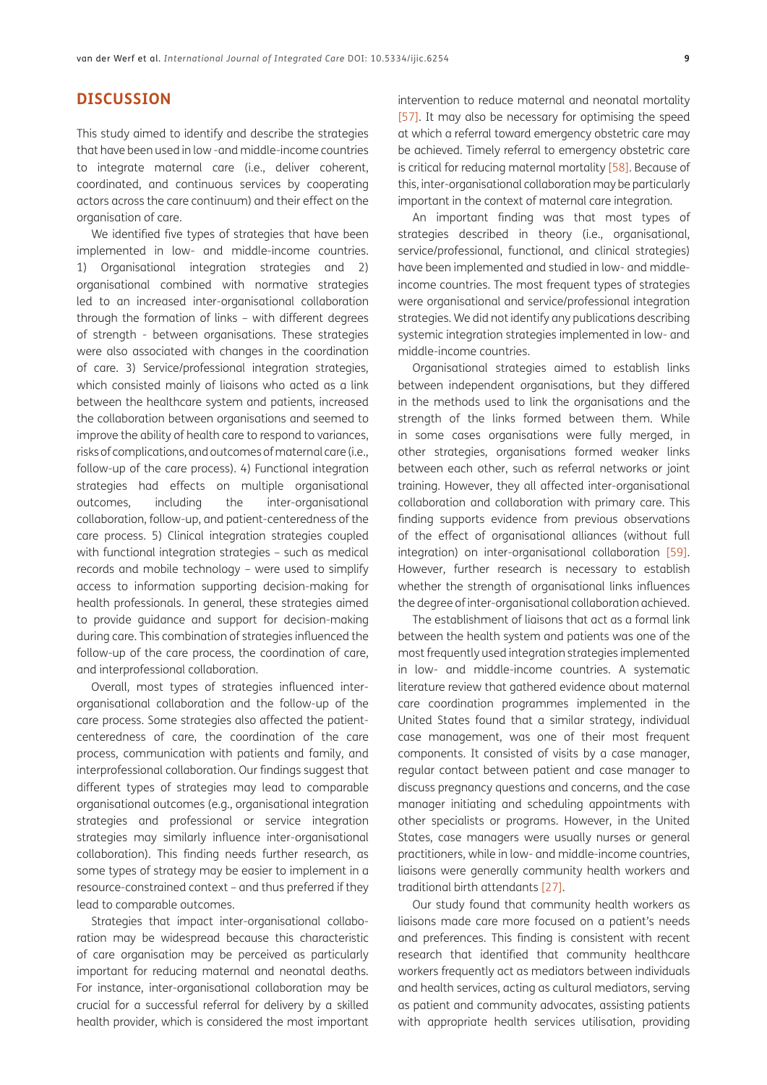## **DISCUSSION**

This study aimed to identify and describe the strategies that have been used in low -and middle-income countries to integrate maternal care (i.e., deliver coherent, coordinated, and continuous services by cooperating actors across the care continuum) and their effect on the organisation of care.

We identified five types of strategies that have been implemented in low- and middle-income countries. 1) Organisational integration strategies and 2) organisational combined with normative strategies led to an increased inter-organisational collaboration through the formation of links – with different degrees of strength - between organisations. These strategies were also associated with changes in the coordination of care. 3) Service/professional integration strategies, which consisted mainly of liaisons who acted as a link between the healthcare system and patients, increased the collaboration between organisations and seemed to improve the ability of health care to respond to variances, risks of complications, and outcomes of maternal care (i.e., follow-up of the care process). 4) Functional integration strategies had effects on multiple organisational outcomes, including the inter-organisational collaboration, follow-up, and patient-centeredness of the care process. 5) Clinical integration strategies coupled with functional integration strategies – such as medical records and mobile technology – were used to simplify access to information supporting decision-making for health professionals. In general, these strategies aimed to provide guidance and support for decision-making during care. This combination of strategies influenced the follow-up of the care process, the coordination of care, and interprofessional collaboration.

Overall, most types of strategies influenced interorganisational collaboration and the follow-up of the care process. Some strategies also affected the patientcenteredness of care, the coordination of the care process, communication with patients and family, and interprofessional collaboration. Our findings suggest that different types of strategies may lead to comparable organisational outcomes (e.g., organisational integration strategies and professional or service integration strategies may similarly influence inter-organisational collaboration). This finding needs further research, as some types of strategy may be easier to implement in a resource-constrained context – and thus preferred if they lead to comparable outcomes.

Strategies that impact inter-organisational collaboration may be widespread because this characteristic of care organisation may be perceived as particularly important for reducing maternal and neonatal deaths. For instance, inter-organisational collaboration may be crucial for a successful referral for delivery by a skilled health provider, which is considered the most important intervention to reduce maternal and neonatal mortality [\[57\]](#page-12-15). It may also be necessary for optimising the speed at which a referral toward emergency obstetric care may be achieved. Timely referral to emergency obstetric care is critical for reducing maternal mortality [\[58\]](#page-12-16). Because of this, inter-organisational collaboration may be particularly important in the context of maternal care integration.

An important finding was that most types of strategies described in theory (i.e., organisational, service/professional, functional, and clinical strategies) have been implemented and studied in low- and middleincome countries. The most frequent types of strategies were organisational and service/professional integration strategies. We did not identify any publications describing systemic integration strategies implemented in low- and middle-income countries.

Organisational strategies aimed to establish links between independent organisations, but they differed in the methods used to link the organisations and the strength of the links formed between them. While in some cases organisations were fully merged, in other strategies, organisations formed weaker links between each other, such as referral networks or joint training. However, they all affected inter-organisational collaboration and collaboration with primary care. This finding supports evidence from previous observations of the effect of organisational alliances (without full integration) on inter-organisational collaboration [\[59\].](#page-12-17) However, further research is necessary to establish whether the strength of organisational links influences the degree of inter-organisational collaboration achieved.

The establishment of liaisons that act as a formal link between the health system and patients was one of the most frequently used integration strategies implemented in low- and middle-income countries. A systematic literature review that gathered evidence about maternal care coordination programmes implemented in the United States found that a similar strategy, individual case management, was one of their most frequent components. It consisted of visits by a case manager, regular contact between patient and case manager to discuss pregnancy questions and concerns, and the case manager initiating and scheduling appointments with other specialists or programs. However, in the United States, case managers were usually nurses or general practitioners, while in low- and middle-income countries, liaisons were generally community health workers and traditional birth attendants [\[27\].](#page-11-10)

Our study found that community health workers as liaisons made care more focused on a patient's needs and preferences. This finding is consistent with recent research that identified that community healthcare workers frequently act as mediators between individuals and health services, acting as cultural mediators, serving as patient and community advocates, assisting patients with appropriate health services utilisation, providing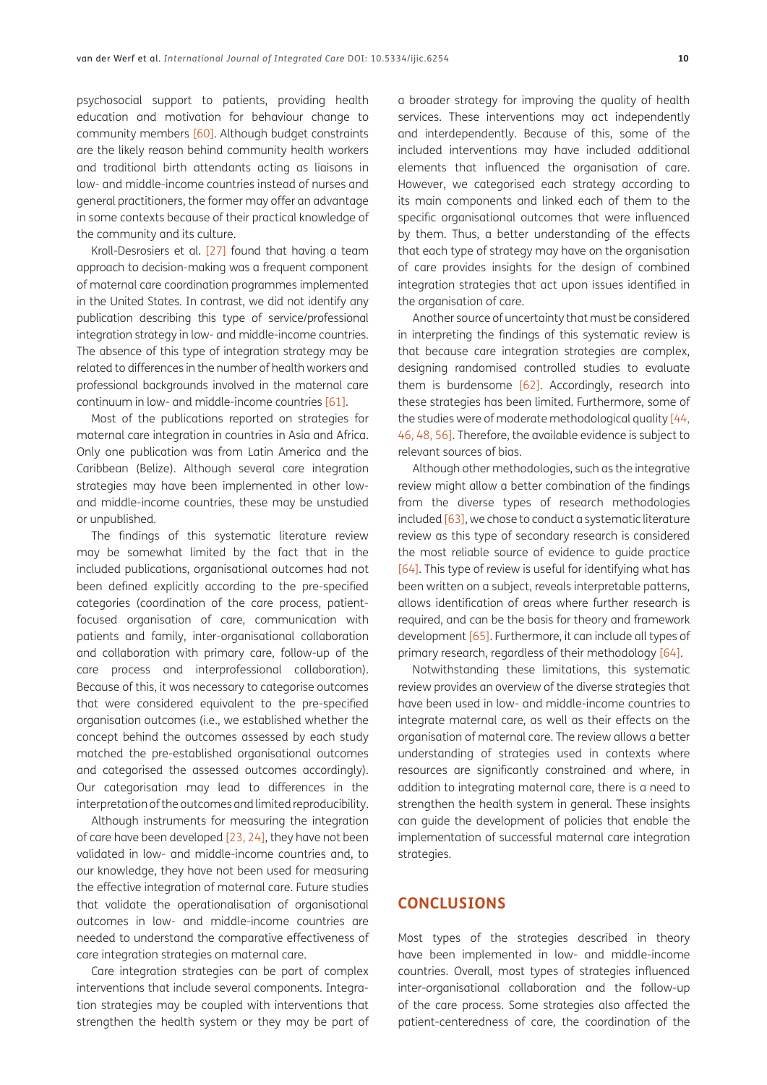psychosocial support to patients, providing health education and motivation for behaviour change to community members [\[60\]](#page-12-18). Although budget constraints are the likely reason behind community health workers and traditional birth attendants acting as liaisons in low- and middle-income countries instead of nurses and general practitioners, the former may offer an advantage in some contexts because of their practical knowledge of the community and its culture.

Kroll-Desrosiers et al. [\[27\]](#page-11-10) found that having a team approach to decision-making was a frequent component of maternal care coordination programmes implemented in the United States. In contrast, we did not identify any publication describing this type of service/professional integration strategy in low- and middle-income countries. The absence of this type of integration strategy may be related to differences in the number of health workers and professional backgrounds involved in the maternal care continuum in low- and middle-income countries [\[61\]](#page-12-19).

Most of the publications reported on strategies for maternal care integration in countries in Asia and Africa. Only one publication was from Latin America and the Caribbean (Belize). Although several care integration strategies may have been implemented in other lowand middle-income countries, these may be unstudied or unpublished.

The findings of this systematic literature review may be somewhat limited by the fact that in the included publications, organisational outcomes had not been defined explicitly according to the pre-specified categories (coordination of the care process, patientfocused organisation of care, communication with patients and family, inter-organisational collaboration and collaboration with primary care, follow-up of the care process and interprofessional collaboration). Because of this, it was necessary to categorise outcomes that were considered equivalent to the pre-specified organisation outcomes (i.e., we established whether the concept behind the outcomes assessed by each study matched the pre-established organisational outcomes and categorised the assessed outcomes accordingly). Our categorisation may lead to differences in the interpretation of the outcomes and limited reproducibility.

Although instruments for measuring the integration of care have been developed [\[23](#page-11-6), [24\]](#page-11-7), they have not been validated in low- and middle-income countries and, to our knowledge, they have not been used for measuring the effective integration of maternal care. Future studies that validate the operationalisation of organisational outcomes in low- and middle-income countries are needed to understand the comparative effectiveness of care integration strategies on maternal care.

Care integration strategies can be part of complex interventions that include several components. Integration strategies may be coupled with interventions that strengthen the health system or they may be part of

a broader strategy for improving the quality of health services. These interventions may act independently and interdependently. Because of this, some of the included interventions may have included additional elements that influenced the organisation of care. However, we categorised each strategy according to its main components and linked each of them to the specific organisational outcomes that were influenced by them. Thus, a better understanding of the effects that each type of strategy may have on the organisation of care provides insights for the design of combined integration strategies that act upon issues identified in the organisation of care.

Another source of uncertainty that must be considered in interpreting the findings of this systematic review is that because care integration strategies are complex, designing randomised controlled studies to evaluate them is burdensome [\[62\]](#page-12-20). Accordingly, research into these strategies has been limited. Furthermore, some of the studies were of moderate methodological quality [\[44,](#page-12-2)  [46](#page-12-12), [48,](#page-12-9) [56](#page-12-4)]. Therefore, the available evidence is subject to relevant sources of bias.

Although other methodologies, such as the integrative review might allow a better combination of the findings from the diverse types of research methodologies included [\[63\]](#page-13-0), we chose to conduct a systematic literature review as this type of secondary research is considered the most reliable source of evidence to guide practice [\[64\]](#page-13-1). This type of review is useful for identifying what has been written on a subject, reveals interpretable patterns, allows identification of areas where further research is required, and can be the basis for theory and framework development [65]. Furthermore, it can include all types of primary research, regardless of their methodology [\[64\]](#page-13-1).

Notwithstanding these limitations, this systematic review provides an overview of the diverse strategies that have been used in low- and middle-income countries to integrate maternal care, as well as their effects on the organisation of maternal care. The review allows a better understanding of strategies used in contexts where resources are significantly constrained and where, in addition to integrating maternal care, there is a need to strengthen the health system in general. These insights can guide the development of policies that enable the implementation of successful maternal care integration strategies.

#### **CONCLUSIONS**

Most types of the strategies described in theory have been implemented in low- and middle-income countries. Overall, most types of strategies influenced inter-organisational collaboration and the follow-up of the care process. Some strategies also affected the patient-centeredness of care, the coordination of the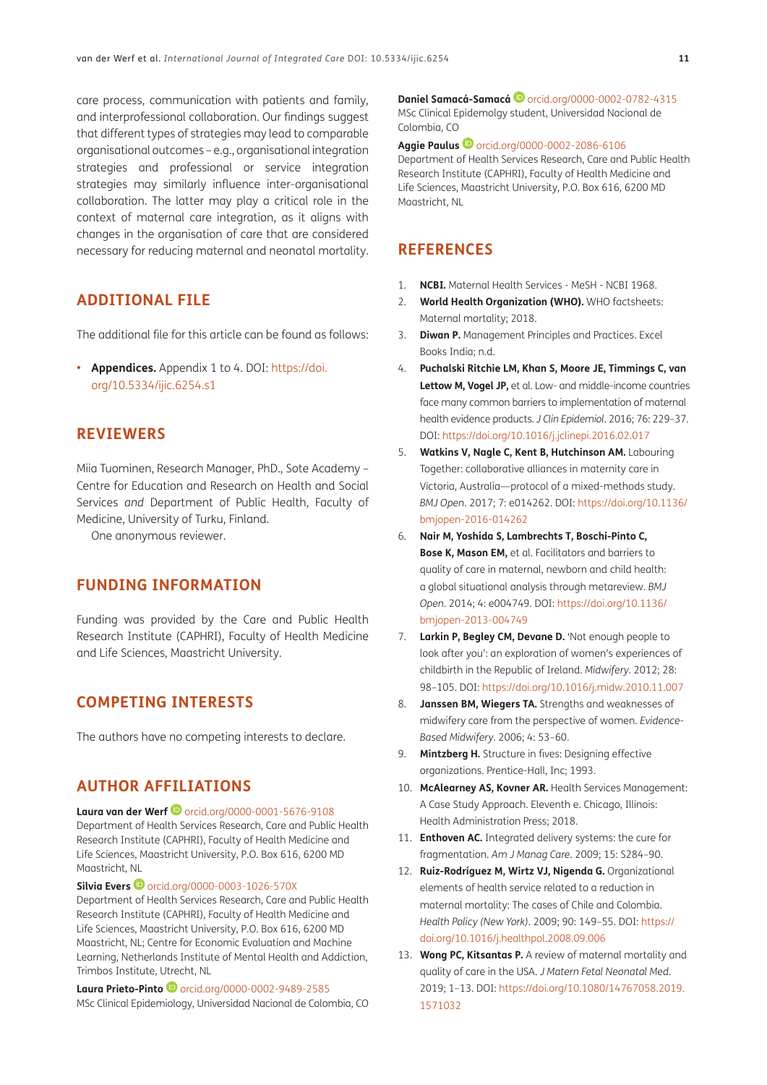care process, communication with patients and family, and interprofessional collaboration. Our findings suggest that different types of strategies may lead to comparable organisational outcomes – e.g., organisational integration strategies and professional or service integration strategies may similarly influence inter-organisational collaboration. The latter may play a critical role in the context of maternal care integration, as it aligns with changes in the organisation of care that are considered necessary for reducing maternal and neonatal mortality.

### **ADDITIONAL FILE**

The additional file for this article can be found as follows:

**• Appendices.** Appendix 1 to 4. DOI: [https://doi.](https://doi.org/10.5334/ijic.6254.s1) [org/10.5334/ijic.6254.s1](https://doi.org/10.5334/ijic.6254.s1)

### **REVIEWERS**

Miia Tuominen, Research Manager, PhD., Sote Academy – Centre for Education and Research on Health and Social Services *and* Department of Public Health, Faculty of Medicine, University of Turku, Finland.

One anonymous reviewer.

## **FUNDING INFORMATION**

Funding was provided by the Care and Public Health Research Institute (CAPHRI), Faculty of Health Medicine and Life Sciences, Maastricht University.

## **COMPETING INTERESTS**

The authors have no competing interests to declare.

## **AUTHOR AFFILIATIONS**

**Laura van der Werf**[orcid.org/0000-0001-5676-9108](https://orcid.org/0000-0001-5676-9108) Department of Health Services Research, Care and Public Health Research Institute (CAPHRI), Faculty of Health Medicine and Life Sciences, Maastricht University, P.O. Box 616, 6200 MD Maastricht, NL

**Silvia Evers D** [orcid.org/0000-0003-1026-570X](https://orcid.org/0000-0003-1026-570X)

Department of Health Services Research, Care and Public Health Research Institute (CAPHRI), Faculty of Health Medicine and Life Sciences, Maastricht University, P.O. Box 616, 6200 MD Maastricht, NL; Centre for Economic Evaluation and Machine Learning, Netherlands Institute of Mental Health and Addiction, Trimbos Institute, Utrecht, NL

Laura Prieto-Pinto <sup>1</sup> [orcid.org/0000-0002-9489-2585](https://orcid.org/0000-0002-9489-2585) MSc Clinical Epidemiology, Universidad Nacional de Colombia, CO

**Daniel Samacá-Samacá <sup>D</sup>[orcid.org/0000-0002-0782-4315](https://orcid.org/0000-0002-0782-4315)** MSc Clinical Epidemolgy student, Universidad Nacional de Colombia, CO

**Aggie Paulus D** [orcid.org/0000-0002-2086-6106](https://orcid.org/0000-0002-2086-6106) Department of Health Services Research, Care and Public Health Research Institute (CAPHRI), Faculty of Health Medicine and Life Sciences, Maastricht University, P.O. Box 616, 6200 MD Maastricht, NL

## **REFERENCES**

- <span id="page-10-0"></span>1. **NCBI.** Maternal Health Services - MeSH - NCBI 1968.
- <span id="page-10-1"></span>2. **World Health Organization (WHO).** WHO factsheets: Maternal mortality; 2018.
- <span id="page-10-2"></span>3. **Diwan P.** Management Principles and Practices. Excel Books India; n.d.
- <span id="page-10-3"></span>4. **Puchalski Ritchie LM, Khan S, Moore JE, Timmings C, van Lettow M, Vogel JP,** et al. Low- and middle-income countries face many common barriers to implementation of maternal health evidence products. *J Clin Epidemiol*. 2016; 76: 229–37. DOI: <https://doi.org/10.1016/j.jclinepi.2016.02.017>
- 5. **Watkins V, Nagle C, Kent B, Hutchinson AM.** Labouring Together: collaborative alliances in maternity care in Victoria, Australia—protocol of a mixed-methods study. *BMJ Open*. 2017; 7: e014262. DOI: [https://doi.org/10.1136/](https://doi.org/10.1136/bmjopen-2016-014262) [bmjopen-2016-014262](https://doi.org/10.1136/bmjopen-2016-014262)
- 6. **Nair M, Yoshida S, Lambrechts T, Boschi-Pinto C, Bose K, Mason EM,** et al. Facilitators and barriers to quality of care in maternal, newborn and child health: a global situational analysis through metareview. *BMJ Open*. 2014; 4: e004749. DOI: [https://doi.org/10.1136/](https://doi.org/10.1136/bmjopen-2013-004749) [bmjopen-2013-004749](https://doi.org/10.1136/bmjopen-2013-004749)
- 7. **Larkin P, Begley CM, Devane D.** 'Not enough people to look after you': an exploration of women's experiences of childbirth in the Republic of Ireland. *Midwifery*. 2012; 28: 98–105. DOI:<https://doi.org/10.1016/j.midw.2010.11.007>
- 8. **Janssen BM, Wiegers TA.** Strengths and weaknesses of midwifery care from the perspective of women. *Evidence-Based Midwifery*. 2006; 4: 53–60.
- 9. **Mintzberg H.** Structure in fives: Designing effective organizations. Prentice-Hall, Inc; 1993.
- <span id="page-10-4"></span>10. **McAlearney AS, Kovner AR.** Health Services Management: A Case Study Approach. Eleventh e. Chicago, Illinois: Health Administration Press; 2018.
- <span id="page-10-5"></span>11. **Enthoven AC.** Integrated delivery systems: the cure for fragmentation. *Am J Manag Care*. 2009; 15: S284–90.
- 12. **Ruiz-Rodríguez M, Wirtz VJ, Nigenda G.** Organizational elements of health service related to a reduction in maternal mortality: The cases of Chile and Colombia. *Health Policy (New York)*. 2009; 90: 149–55. DOI: [https://](https://doi.org/10.1016/j.healthpol.2008.09.006) [doi.org/10.1016/j.healthpol.2008.09.006](https://doi.org/10.1016/j.healthpol.2008.09.006)
- 13. **Wong PC, Kitsantas P.** A review of maternal mortality and quality of care in the USA. *J Matern Fetal Neonatal Med*. 2019; 1–13. DOI: [https://doi.org/10.1080/14767058.2019.](https://doi.org/10.1080/14767058.2019.1571032) [1571032](https://doi.org/10.1080/14767058.2019.1571032)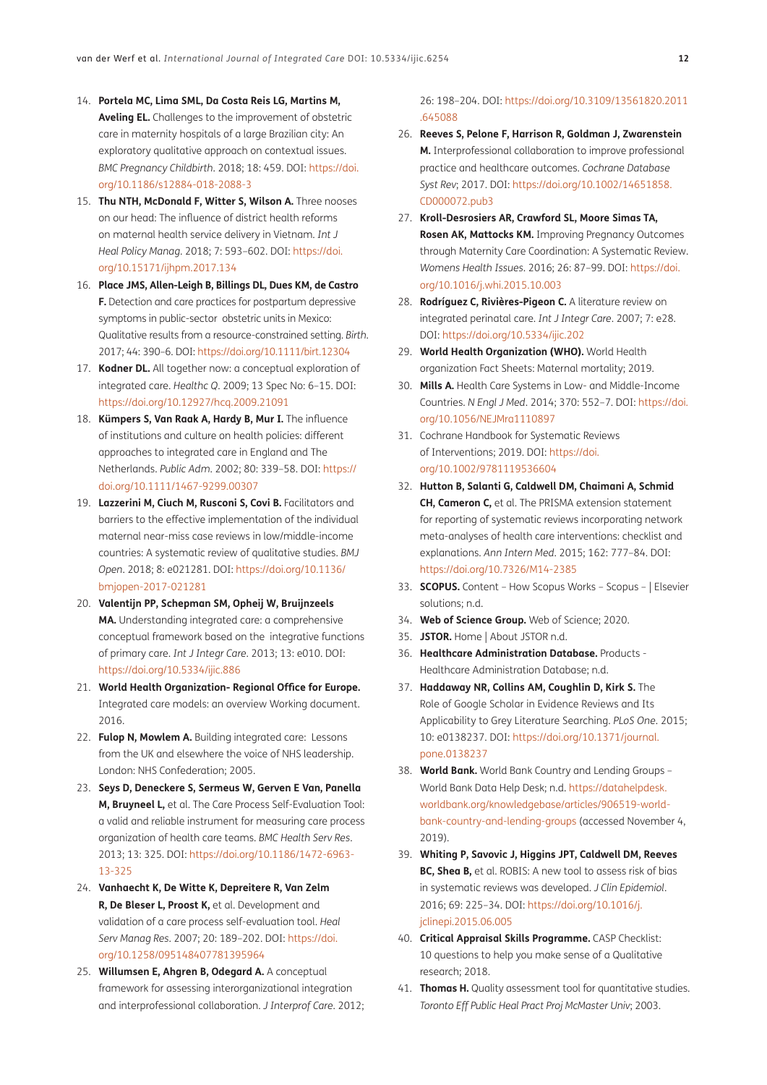- 14. **Portela MC, Lima SML, Da Costa Reis LG, Martins M, Aveling EL.** Challenges to the improvement of obstetric care in maternity hospitals of a large Brazilian city: An exploratory qualitative approach on contextual issues. *BMC Pregnancy Childbirth*. 2018; 18: 459. DOI: [https://doi.](https://doi.org/10.1186/s12884-018-2088-3) [org/10.1186/s12884-018-2088-3](https://doi.org/10.1186/s12884-018-2088-3)
- 15. **Thu NTH, McDonald F, Witter S, Wilson A.** Three nooses on our head: The influence of district health reforms on maternal health service delivery in Vietnam. *Int J Heal Policy Manag*. 2018; 7: 593–602. DOI: [https://doi.](https://doi.org/10.15171/ijhpm.2017.134) [org/10.15171/ijhpm.2017.134](https://doi.org/10.15171/ijhpm.2017.134)
- <span id="page-11-0"></span>16. **Place JMS, Allen-Leigh B, Billings DL, Dues KM, de Castro F.** Detection and care practices for postpartum depressive symptoms in public-sector obstetric units in Mexico: Qualitative results from a resource-constrained setting. *Birth*. 2017; 44: 390–6. DOI:<https://doi.org/10.1111/birt.12304>
- <span id="page-11-1"></span>17. **Kodner DL.** All together now: a conceptual exploration of integrated care. *Healthc Q*. 2009; 13 Spec No: 6–15. DOI: <https://doi.org/10.12927/hcq.2009.21091>
- 18. **Kümpers S, Van Raak A, Hardy B, Mur I.** The influence of institutions and culture on health policies: different approaches to integrated care in England and The Netherlands. *Public Adm*. 2002; 80: 339–58. DOI: [https://](https://doi.org/10.1111/1467-9299.00307) [doi.org/10.1111/1467-9299.00307](https://doi.org/10.1111/1467-9299.00307)
- <span id="page-11-2"></span>19. **Lazzerini M, Ciuch M, Rusconi S, Covi B.** Facilitators and barriers to the effective implementation of the individual maternal near-miss case reviews in low/middle-income countries: A systematic review of qualitative studies. *BMJ Open*. 2018; 8: e021281. DOI: [https://doi.org/10.1136/](https://doi.org/10.1136/bmjopen-2017-021281) [bmjopen-2017-021281](https://doi.org/10.1136/bmjopen-2017-021281)
- <span id="page-11-3"></span>20. **Valentijn PP, Schepman SM, Opheij W, Bruijnzeels MA.** Understanding integrated care: a comprehensive conceptual framework based on the integrative functions of primary care. *Int J Integr Care*. 2013; 13: e010. DOI: <https://doi.org/10.5334/ijic.886>
- <span id="page-11-4"></span>21. **World Health Organization- Regional Office for Europe.** Integrated care models: an overview Working document. 2016.
- <span id="page-11-5"></span>22. **Fulop N, Mowlem A.** Building integrated care: Lessons from the UK and elsewhere the voice of NHS leadership. London: NHS Confederation; 2005.
- <span id="page-11-6"></span>23. **Seys D, Deneckere S, Sermeus W, Gerven E Van, Panella M, Bruyneel L,** et al. The Care Process Self-Evaluation Tool: a valid and reliable instrument for measuring care process organization of health care teams. *BMC Health Serv Res*. 2013; 13: 325. DOI: [https://doi.org/10.1186/1472-6963-](https://doi.org/10.1186/1472-6963-13-325) [13-325](https://doi.org/10.1186/1472-6963-13-325)
- <span id="page-11-7"></span>24. **Vanhaecht K, De Witte K, Depreitere R, Van Zelm R, De Bleser L, Proost K,** et al. Development and validation of a care process self-evaluation tool. *Heal Serv Manag Res*. 2007; 20: 189–202. DOI: [https://doi.](https://doi.org/10.1258/095148407781395964) [org/10.1258/095148407781395964](https://doi.org/10.1258/095148407781395964)
- <span id="page-11-8"></span>25. **Willumsen E, Ahgren B, Odegard A.** A conceptual framework for assessing interorganizational integration and interprofessional collaboration. *J Interprof Care*. 2012;

26: 198–204. DOI: [https://doi.org/10.3109/13561820.2011](https://doi.org/10.3109/13561820.2011.645088) [.645088](https://doi.org/10.3109/13561820.2011.645088)

- <span id="page-11-9"></span>26. **Reeves S, Pelone F, Harrison R, Goldman J, Zwarenstein M.** Interprofessional collaboration to improve professional practice and healthcare outcomes. *Cochrane Database Syst Rev*; 2017. DOI: [https://doi.org/10.1002/14651858.](https://doi.org/10.1002/14651858.CD000072.pub3) [CD000072.pub3](https://doi.org/10.1002/14651858.CD000072.pub3)
- <span id="page-11-10"></span>27. **Kroll-Desrosiers AR, Crawford SL, Moore Simas TA, Rosen AK, Mattocks KM.** Improving Pregnancy Outcomes through Maternity Care Coordination: A Systematic Review. *Womens Health Issues*. 2016; 26: 87–99. DOI: [https://doi.](https://doi.org/10.1016/j.whi.2015.10.003) [org/10.1016/j.whi.2015.10.003](https://doi.org/10.1016/j.whi.2015.10.003)
- 28. **Rodríguez C, Rivières-Pigeon C.** A literature review on integrated perinatal care. *Int J Integr Care*. 2007; 7: e28. DOI: <https://doi.org/10.5334/ijic.202>
- <span id="page-11-11"></span>29. **World Health Organization (WHO).** World Health organization Fact Sheets: Maternal mortality; 2019.
- <span id="page-11-12"></span>30. **Mills A.** Health Care Systems in Low- and Middle-Income Countries. *N Engl J Med*. 2014; 370: 552–7. DOI: [https://doi.](https://doi.org/10.1056/NEJMra1110897) [org/10.1056/NEJMra1110897](https://doi.org/10.1056/NEJMra1110897)
- <span id="page-11-13"></span>31. Cochrane Handbook for Systematic Reviews of Interventions; 2019. DOI: [https://doi.](https://doi.org/10.1002/9781119536604) [org/10.1002/9781119536604](https://doi.org/10.1002/9781119536604)
- <span id="page-11-14"></span>32. **Hutton B, Salanti G, Caldwell DM, Chaimani A, Schmid CH, Cameron C,** et al. The PRISMA extension statement for reporting of systematic reviews incorporating network meta-analyses of health care interventions: checklist and explanations. *Ann Intern Med*. 2015; 162: 777–84. DOI: <https://doi.org/10.7326/M14-2385>
- <span id="page-11-15"></span>33. **SCOPUS.** Content – How Scopus Works – Scopus – | Elsevier solutions; n.d.
- 34. **Web of Science Group.** Web of Science; 2020.
- <span id="page-11-16"></span>35. **JSTOR.** Home | About JSTOR n.d.
- <span id="page-11-17"></span>36. **Healthcare Administration Database.** Products - Healthcare Administration Database; n.d.
- <span id="page-11-18"></span>37. **Haddaway NR, Collins AM, Coughlin D, Kirk S.** The Role of Google Scholar in Evidence Reviews and Its Applicability to Grey Literature Searching. *PLoS One*. 2015; 10: e0138237. DOI: [https://doi.org/10.1371/journal.](https://doi.org/10.1371/journal.pone.0138237) [pone.0138237](https://doi.org/10.1371/journal.pone.0138237)
- 38. **World Bank.** World Bank Country and Lending Groups World Bank Data Help Desk; n.d. [https://datahelpdesk.](https://datahelpdesk.worldbank.org/knowledgebase/articles/906519-world-bank-country-and-lending-groups) [worldbank.org/knowledgebase/articles/906519-world](https://datahelpdesk.worldbank.org/knowledgebase/articles/906519-world-bank-country-and-lending-groups)[bank-country-and-lending-groups](https://datahelpdesk.worldbank.org/knowledgebase/articles/906519-world-bank-country-and-lending-groups) (accessed November 4, 2019).
- <span id="page-11-19"></span>39. **Whiting P, Savovic J, Higgins JPT, Caldwell DM, Reeves BC, Shea B,** et al. ROBIS: A new tool to assess risk of bias in systematic reviews was developed. *J Clin Epidemiol*. 2016; 69: 225–34. DOI: [https://doi.org/10.1016/j.](https://doi.org/10.1016/j.jclinepi.2015.06.005) [jclinepi.2015.06.005](https://doi.org/10.1016/j.jclinepi.2015.06.005)
- 40. **Critical Appraisal Skills Programme.** CASP Checklist: 10 questions to help you make sense of a Qualitative research; 2018.
- <span id="page-11-20"></span>41. **Thomas H.** Quality assessment tool for quantitative studies. *Toronto Eff Public Heal Pract Proj McMaster Univ*; 2003.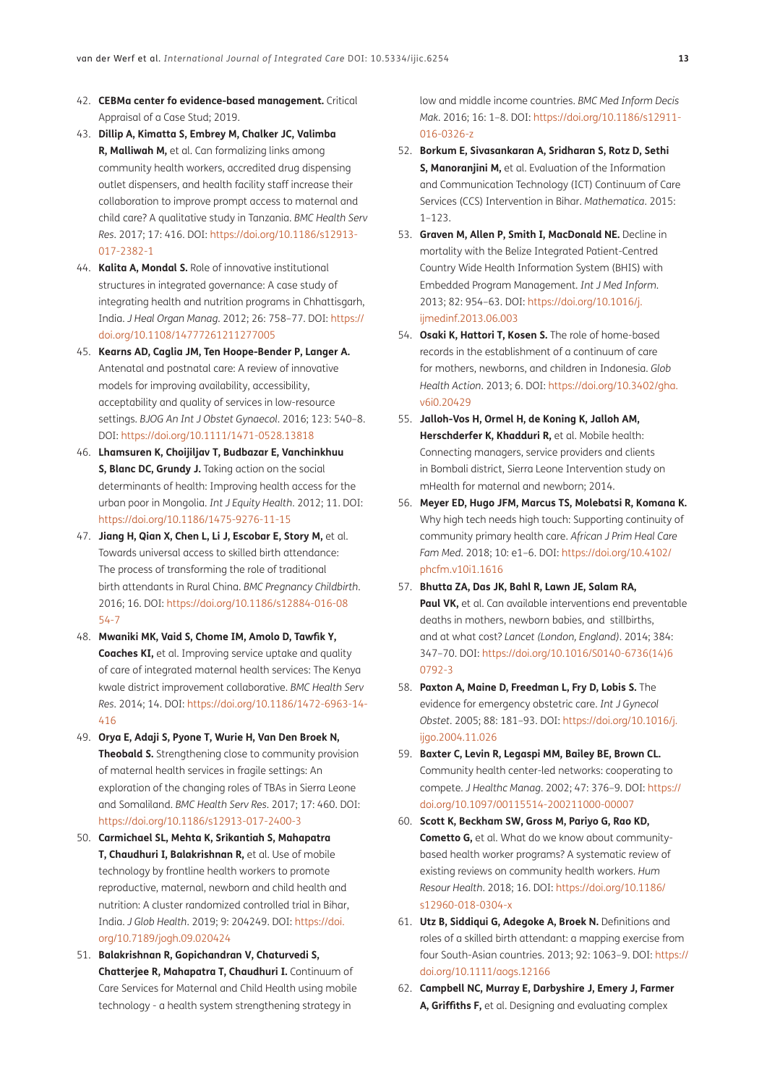- <span id="page-12-0"></span>42. **CEBMa center fo evidence-based management.** Critical Appraisal of a Case Stud; 2019.
- <span id="page-12-1"></span>43. **Dillip A, Kimatta S, Embrey M, Chalker JC, Valimba R, Malliwah M,** et al. Can formalizing links among community health workers, accredited drug dispensing outlet dispensers, and health facility staff increase their collaboration to improve prompt access to maternal and child care? A qualitative study in Tanzania. *BMC Health Serv Res*. 2017; 17: 416. DOI: [https://doi.org/10.1186/s12913-](https://doi.org/10.1186/s12913-017-2382-1) [017-2382-1](https://doi.org/10.1186/s12913-017-2382-1)
- <span id="page-12-2"></span>44. **Kalita A, Mondal S.** Role of innovative institutional structures in integrated governance: A case study of integrating health and nutrition programs in Chhattisgarh, India. *J Heal Organ Manag*. 2012; 26: 758–77. DOI: [https://](https://doi.org/10.1108/14777261211277005) [doi.org/10.1108/14777261211277005](https://doi.org/10.1108/14777261211277005)
- <span id="page-12-5"></span>45. **Kearns AD, Caglia JM, Ten Hoope-Bender P, Langer A.**  Antenatal and postnatal care: A review of innovative models for improving availability, accessibility, acceptability and quality of services in low-resource settings. *BJOG An Int J Obstet Gynaecol*. 2016; 123: 540–8. DOI:<https://doi.org/10.1111/1471-0528.13818>
- <span id="page-12-12"></span>46. **Lhamsuren K, Choijiljav T, Budbazar E, Vanchinkhuu S, Blanc DC, Grundy J.** Taking action on the social determinants of health: Improving health access for the urban poor in Mongolia. *Int J Equity Health*. 2012; 11. DOI: <https://doi.org/10.1186/1475-9276-11-15>
- <span id="page-12-10"></span>47. **Jiang H, Qian X, Chen L, Li J, Escobar E, Story M,** et al. Towards universal access to skilled birth attendance: The process of transforming the role of traditional birth attendants in Rural China. *BMC Pregnancy Childbirth*. 2016; 16. DOI: [https://doi.org/10.1186/s12884-016-08](https://doi.org/10.1186/s12884-016-0854-7) [54-7](https://doi.org/10.1186/s12884-016-0854-7)
- <span id="page-12-9"></span>48. **Mwaniki MK, Vaid S, Chome IM, Amolo D, Tawfik Y, Coaches KI,** et al. Improving service uptake and quality of care of integrated maternal health services: The Kenya kwale district improvement collaborative. *BMC Health Serv Res*. 2014; 14. DOI: [https://doi.org/10.1186/1472-6963-14-](https://doi.org/10.1186/1472-6963-14-416) [416](https://doi.org/10.1186/1472-6963-14-416)
- <span id="page-12-11"></span>49. **Orya E, Adaji S, Pyone T, Wurie H, Van Den Broek N, Theobald S.** Strengthening close to community provision of maternal health services in fragile settings: An exploration of the changing roles of TBAs in Sierra Leone and Somaliland. *BMC Health Serv Res*. 2017; 17: 460. DOI: <https://doi.org/10.1186/s12913-017-2400-3>
- <span id="page-12-7"></span>50. **Carmichael SL, Mehta K, Srikantiah S, Mahapatra T, Chaudhuri I, Balakrishnan R,** et al. Use of mobile technology by frontline health workers to promote reproductive, maternal, newborn and child health and nutrition: A cluster randomized controlled trial in Bihar, India. *J Glob Health*. 2019; 9: 204249. DOI: [https://doi.](https://doi.org/10.7189/jogh.09.020424) [org/10.7189/jogh.09.020424](https://doi.org/10.7189/jogh.09.020424)
- <span id="page-12-13"></span>51. **Balakrishnan R, Gopichandran V, Chaturvedi S, Chatterjee R, Mahapatra T, Chaudhuri I.** Continuum of Care Services for Maternal and Child Health using mobile technology - a health system strengthening strategy in

low and middle income countries. *BMC Med Inform Decis Mak*. 2016; 16: 1–8. DOI: [https://doi.org/10.1186/s12911-](https://doi.org/10.1186/s12911-016-0326-z) [016-0326-z](https://doi.org/10.1186/s12911-016-0326-z)

- <span id="page-12-6"></span>52. **Borkum E, Sivasankaran A, Sridharan S, Rotz D, Sethi S. Manoraniini M.** et al. Evaluation of the Information and Communication Technology (ICT) Continuum of Care Services (CCS) Intervention in Bihar. *Mathematica*. 2015:  $1 - 123$
- <span id="page-12-3"></span>53. **Graven M, Allen P, Smith I, MacDonald NE.** Decline in mortality with the Belize Integrated Patient-Centred Country Wide Health Information System (BHIS) with Embedded Program Management. *Int J Med Inform*. 2013; 82: 954–63. DOI: [https://doi.org/10.1016/j.](https://doi.org/10.1016/j.ijmedinf.2013.06.003) [ijmedinf.2013.06.003](https://doi.org/10.1016/j.ijmedinf.2013.06.003)
- <span id="page-12-8"></span>54. **Osaki K, Hattori T, Kosen S.** The role of home-based records in the establishment of a continuum of care for mothers, newborns, and children in Indonesia. *Glob Health Action*. 2013; 6. DOI: [https://doi.org/10.3402/gha.](https://doi.org/10.3402/gha.v6i0.20429) [v6i0.20429](https://doi.org/10.3402/gha.v6i0.20429)
- <span id="page-12-14"></span>55. **Jalloh-Vos H, Ormel H, de Koning K, Jalloh AM, Herschderfer K, Khadduri R,** et al. Mobile health: Connecting managers, service providers and clients in Bombali district, Sierra Leone Intervention study on mHealth for maternal and newborn; 2014.
- <span id="page-12-4"></span>56. **Meyer ED, Hugo JFM, Marcus TS, Molebatsi R, Komana K.** Why high tech needs high touch: Supporting continuity of community primary health care. *African J Prim Heal Care Fam Med*. 2018; 10: e1–6. DOI: [https://doi.org/10.4102/](https://doi.org/10.4102/phcfm.v10i1.1616) [phcfm.v10i1.1616](https://doi.org/10.4102/phcfm.v10i1.1616)
- <span id="page-12-15"></span>57. **Bhutta ZA, Das JK, Bahl R, Lawn JE, Salam RA, Paul VK,** et al. Can available interventions end preventable deaths in mothers, newborn babies, and stillbirths, and at what cost? *Lancet (London, England)*. 2014; 384: 347–70. DOI: [https://doi.org/10.1016/S0140-6736\(14\)6](https://doi.org/10.1016/S0140-6736(14)60792-3) [0792-3](https://doi.org/10.1016/S0140-6736(14)60792-3)
- <span id="page-12-16"></span>58. **Paxton A, Maine D, Freedman L, Fry D, Lobis S.** The evidence for emergency obstetric care. *Int J Gynecol Obstet*. 2005; 88: 181–93. DOI: [https://doi.org/10.1016/j.](https://doi.org/10.1016/j.ijgo.2004.11.026) [ijgo.2004.11.026](https://doi.org/10.1016/j.ijgo.2004.11.026)
- <span id="page-12-17"></span>59. **Baxter C, Levin R, Legaspi MM, Bailey BE, Brown CL.** Community health center-led networks: cooperating to compete. *J Healthc Manag*. 2002; 47: 376–9. DOI: [https://](https://doi.org/10.1097/00115514-200211000-00007) [doi.org/10.1097/00115514-200211000-00007](https://doi.org/10.1097/00115514-200211000-00007)
- <span id="page-12-18"></span>60. **Scott K, Beckham SW, Gross M, Pariyo G, Rao KD, Cometto G,** et al. What do we know about communitybased health worker programs? A systematic review of existing reviews on community health workers. *Hum Resour Health*. 2018; 16. DOI: [https://doi.org/10.1186/](https://doi.org/10.1186/s12960-018-0304-x) [s12960-018-0304-x](https://doi.org/10.1186/s12960-018-0304-x)
- <span id="page-12-19"></span>61. **Utz B, Siddiqui G, Adegoke A, Broek N.** Definitions and roles of a skilled birth attendant: a mapping exercise from four South-Asian countries. 2013; 92: 1063–9. DOI: [https://](https://doi.org/10.1111/aogs.12166) [doi.org/10.1111/aogs.12166](https://doi.org/10.1111/aogs.12166)
- <span id="page-12-20"></span>62. **Campbell NC, Murray E, Darbyshire J, Emery J, Farmer A, Griffiths F,** et al. Designing and evaluating complex